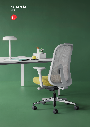HermanMiller

**B** 

 $\epsilon$ 

 $\bullet$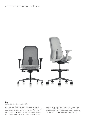# At the nexus of comfort and value



#### **Lino** Designed by Sam Hecht and Kim Colin

Lino brings scientifically backed comfort and a wide range of aesthetic options to your workplace or home. Charged with designing a high-performance work chair at an exceptional value, awardwinning designers Hecht and Colin found inspiration in constraint. Thanks to their design prowess and our ergonomic expertise –

including our patented PostureFit technology – Lino joins our portfolio of high-performance work chairs. At Herman Miller, we think everyone should enjoy good design and comfort while they work, and Lino helps make that possibility a reality.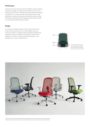### **Performance**

Leaning on more than 50 years of Herman Miller's industry-leading research and design, Lino holds the same DNA as the rest of our performance work chairs, offering each person balanced movement and dynamic fit. Its contoured seat works together with its highperformance suspension to give you total spinal support, and the breathable suspension features integrated lumbar support thanks to a composite of different thread tensions.

## **Design**

Lino marries the design expertise of Sam Hecht and Kim Colin to the comfort you'd expect from a Herman Miller task chair. It has been made to our highest quality standards and rigorously engineered, tooled, and tested. That attention to detail is also apparent in the chair's minimal environmental impact. Lino is backed by our 12-year, 3-shift warranty.



Lino's proprietary Duo suspension material features three breathable zones of varying tension to provide thoracic, lumbar, and sacral support.



Customise your Lino Chair by choosing between a Black or Mineral frame, six different suspension colours, and a large variety of upholstery options. For the base, choose a colour that matches the frame or, for a sleeker look, turn to polished aluminium.